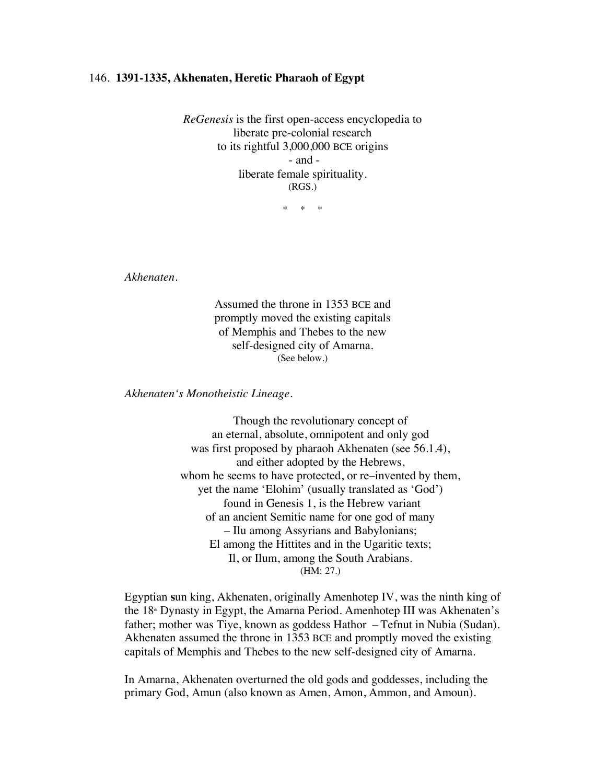## 146. **1391-1335, Akhenaten, Heretic Pharaoh of Egypt**

*ReGenesis* is the first open-access encyclopedia to liberate pre-colonial research to its rightful 3,000,000 BCE origins - and liberate female spirituality. (RGS.)

\* \* \*

*Akhenaten*.

Assumed the throne in 1353 BCE and promptly moved the existing capitals of Memphis and Thebes to the new self-designed city of Amarna. (See below.)

*Akhenaten's Monotheistic Lineage.*

Though the revolutionary concept of an eternal, absolute, omnipotent and only god was first proposed by pharaoh Akhenaten (see 56.1.4), and either adopted by the Hebrews, whom he seems to have protected, or re–invented by them, yet the name 'Elohim' (usually translated as 'God') found in Genesis 1, is the Hebrew variant of an ancient Semitic name for one god of many – Ilu among Assyrians and Babylonians; El among the Hittites and in the Ugaritic texts; Il, or Ilum, among the South Arabians. (HM: 27.)

Egyptian **s**un king, Akhenaten, originally Amenhotep IV, was the ninth king of the 18<sup>th</sup> Dynasty in Egypt, the Amarna Period. Amenhotep III was Akhenaten's father; mother was Tiye, known as goddess Hathor – Tefnut in Nubia (Sudan). Akhenaten assumed the throne in 1353 BCE and promptly moved the existing capitals of Memphis and Thebes to the new self-designed city of Amarna.

In Amarna, Akhenaten overturned the old gods and goddesses, including the primary God, Amun (also known as Amen, Amon, Ammon, and Amoun).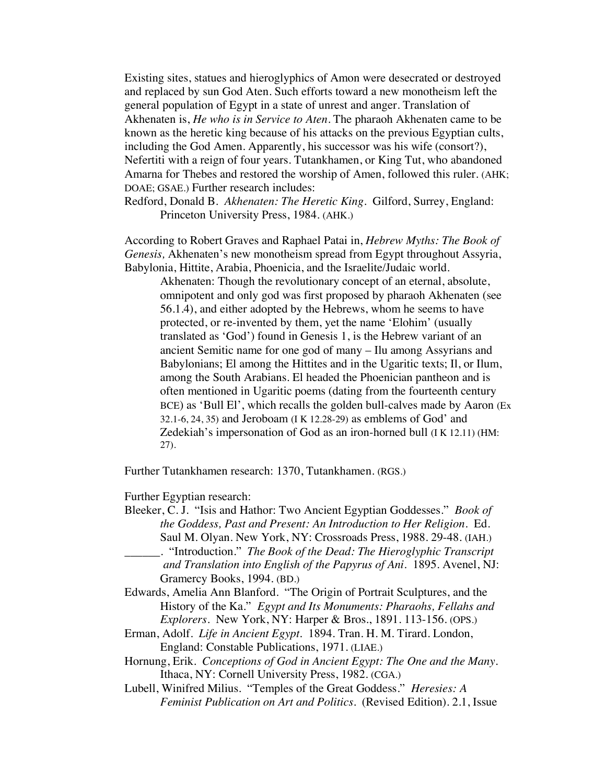Existing sites, statues and hieroglyphics of Amon were desecrated or destroyed and replaced by sun God Aten. Such efforts toward a new monotheism left the general population of Egypt in a state of unrest and anger. Translation of Akhenaten is, *He who is in Service to Aten*. The pharaoh Akhenaten came to be known as the heretic king because of his attacks on the previous Egyptian cults, including the God Amen. Apparently, his successor was his wife (consort?), Nefertiti with a reign of four years. Tutankhamen, or King Tut, who abandoned Amarna for Thebes and restored the worship of Amen, followed this ruler. (AHK; DOAE; GSAE.) Further research includes:

Redford, Donald B. *Akhenaten: The Heretic King*. Gilford, Surrey, England: Princeton University Press, 1984. (AHK.)

According to Robert Graves and Raphael Patai in, *Hebrew Myths: The Book of Genesis,* Akhenaten's new monotheism spread from Egypt throughout Assyria, Babylonia, Hittite, Arabia, Phoenicia, and the Israelite/Judaic world.

Akhenaten: Though the revolutionary concept of an eternal, absolute, omnipotent and only god was first proposed by pharaoh Akhenaten (see 56.1.4), and either adopted by the Hebrews, whom he seems to have protected, or re-invented by them, yet the name 'Elohim' (usually translated as 'God') found in Genesis 1, is the Hebrew variant of an ancient Semitic name for one god of many – Ilu among Assyrians and Babylonians; El among the Hittites and in the Ugaritic texts; Il, or Ilum, among the South Arabians. El headed the Phoenician pantheon and is often mentioned in Ugaritic poems (dating from the fourteenth century BCE) as 'Bull El', which recalls the golden bull-calves made by Aaron (Ex 32.1-6, 24, 35) and Jeroboam (I K 12.28-29) as emblems of God' and Zedekiah's impersonation of God as an iron-horned bull (I K 12.11) (HM: 27).

Further Tutankhamen research: 1370, Tutankhamen. (RGS.)

Further Egyptian research:

- Bleeker, C. J. "Isis and Hathor: Two Ancient Egyptian Goddesses." *Book of the Goddess, Past and Present: An Introduction to Her Religion.* Ed. Saul M. Olyan. New York, NY: Crossroads Press, 1988. 29-48. (IAH.)
- \_\_\_\_\_\_. "Introduction." *The Book of the Dead: The Hieroglyphic Transcript and Translation into English of the Papyrus of Ani*. 1895. Avenel, NJ: Gramercy Books, 1994. (BD.)
- Edwards, Amelia Ann Blanford. "The Origin of Portrait Sculptures, and the History of the Ka." *Egypt and Its Monuments: Pharaohs, Fellahs and Explorers*. New York, NY: Harper & Bros., 1891. 113-156. (OPS.)
- Erman, Adolf. *Life in Ancient Egypt.* 1894. Tran. H. M. Tirard. London, England: Constable Publications, 1971. (LIAE.)
- Hornung, Erik. *Conceptions of God in Ancient Egypt: The One and the Many*. Ithaca, NY: Cornell University Press, 1982. (CGA.)
- Lubell, Winifred Milius. "Temples of the Great Goddess." *Heresies: A Feminist Publication on Art and Politics.* (Revised Edition). 2.1, Issue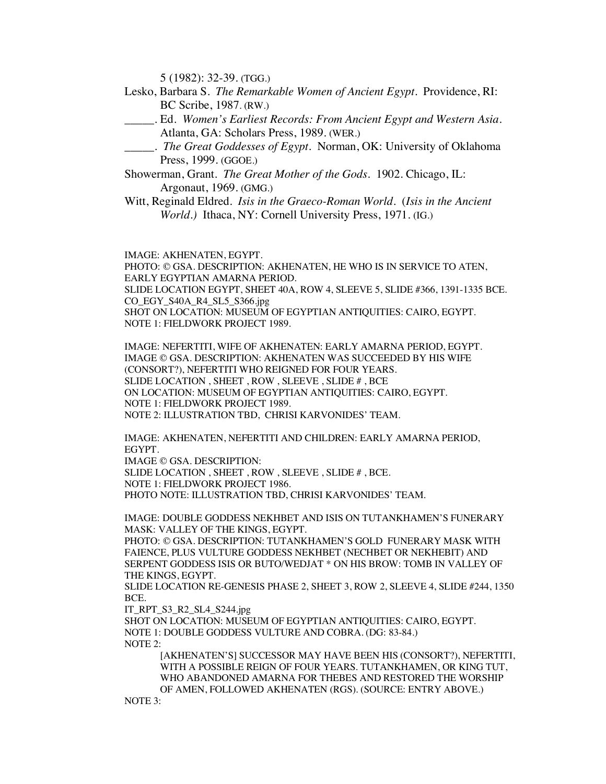5 (1982): 32-39. (TGG.)

- Lesko, Barbara S. *The Remarkable Women of Ancient Egypt*. Providence, RI: BC Scribe, 1987. (RW.)
- \_\_\_\_\_. Ed. *Women's Earliest Records: From Ancient Egypt and Western Asia*. Atlanta, GA: Scholars Press, 1989. (WER.)
- \_\_\_\_\_. *The Great Goddesses of Egypt*. Norman, OK: University of Oklahoma Press, 1999. (GGOE.)
- Showerman, Grant. *The Great Mother of the Gods*. 1902. Chicago, IL: Argonaut, 1969. (GMG.)
- Witt, Reginald Eldred. *Isis in the Graeco-Roman World*. (*Isis in the Ancient World.)* Ithaca, NY: Cornell University Press, 1971. (IG.)

IMAGE: AKHENATEN, EGYPT.

PHOTO: © GSA. DESCRIPTION: AKHENATEN, HE WHO IS IN SERVICE TO ATEN, EARLY EGYPTIAN AMARNA PERIOD. SLIDE LOCATION EGYPT, SHEET 40A, ROW 4, SLEEVE 5, SLIDE #366, 1391-1335 BCE. CO\_EGY\_S40A\_R4\_SL5\_S366.jpg SHOT ON LOCATION: MUSEUM OF EGYPTIAN ANTIQUITIES: CAIRO, EGYPT. NOTE 1: FIELDWORK PROJECT 1989.

IMAGE: NEFERTITI, WIFE OF AKHENATEN: EARLY AMARNA PERIOD, EGYPT. IMAGE © GSA. DESCRIPTION: AKHENATEN WAS SUCCEEDED BY HIS WIFE (CONSORT?), NEFERTITI WHO REIGNED FOR FOUR YEARS. SLIDE LOCATION , SHEET , ROW , SLEEVE , SLIDE  $\#$  , BCE ON LOCATION: MUSEUM OF EGYPTIAN ANTIQUITIES: CAIRO, EGYPT. NOTE 1: FIELDWORK PROJECT 1989. NOTE 2: ILLUSTRATION TBD, CHRISI KARVONIDES' TEAM.

IMAGE: AKHENATEN, NEFERTITI AND CHILDREN: EARLY AMARNA PERIOD, EGYPT.

IMAGE © GSA. DESCRIPTION: SLIDE LOCATION , SHEET , ROW , SLEEVE , SLIDE # , BCE. NOTE 1: FIELDWORK PROJECT 1986. PHOTO NOTE: ILLUSTRATION TBD, CHRISI KARVONIDES' TEAM.

IMAGE: DOUBLE GODDESS NEKHBET AND ISIS ON TUTANKHAMEN'S FUNERARY MASK: VALLEY OF THE KINGS, EGYPT.

PHOTO: © GSA. DESCRIPTION: TUTANKHAMEN'S GOLD FUNERARY MASK WITH FAIENCE, PLUS VULTURE GODDESS NEKHBET (NECHBET OR NEKHEBIT) AND SERPENT GODDESS ISIS OR BUTO/WEDJAT \* ON HIS BROW: TOMB IN VALLEY OF THE KINGS, EGYPT.

SLIDE LOCATION RE-GENESIS PHASE 2, SHEET 3, ROW 2, SLEEVE 4, SLIDE #244, 1350 BCE.

IT\_RPT\_S3\_R2\_SL4\_S244.jpg

SHOT ON LOCATION: MUSEUM OF EGYPTIAN ANTIQUITIES: CAIRO, EGYPT. NOTE 1: DOUBLE GODDESS VULTURE AND COBRA. (DG: 83-84.) NOTE 2:

[AKHENATEN'S] SUCCESSOR MAY HAVE BEEN HIS (CONSORT?), NEFERTITI, WITH A POSSIBLE REIGN OF FOUR YEARS. TUTANKHAMEN, OR KING TUT, WHO ABANDONED AMARNA FOR THEBES AND RESTORED THE WORSHIP OF AMEN, FOLLOWED AKHENATEN (RGS). (SOURCE: ENTRY ABOVE.)